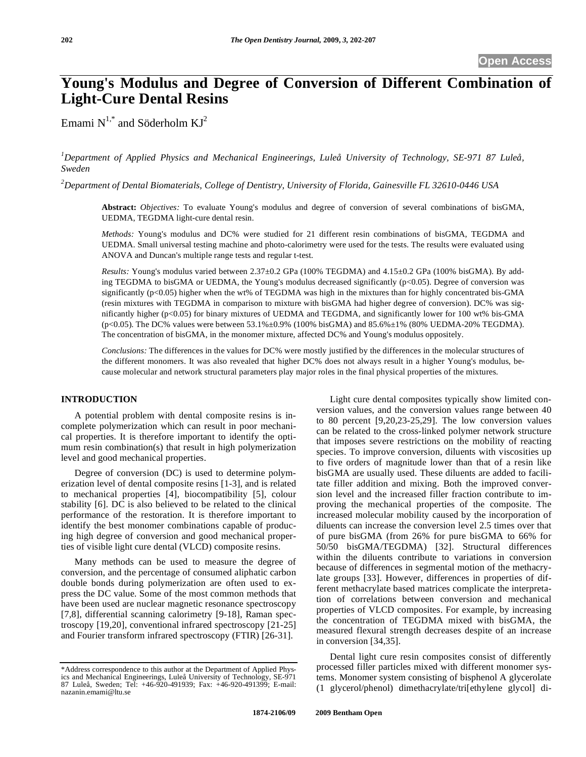# **Young's Modulus and Degree of Conversion of Different Combination of Light-Cure Dental Resins**

Emami  $N^{1,*}$  and Söderholm  $KJ^2$ 

*1 Department of Applied Physics and Mechanical Engineerings, Luleå University of Technology, SE-971 87 Luleå, Sweden* 

*2 Department of Dental Biomaterials, College of Dentistry, University of Florida, Gainesville FL 32610-0446 USA* 

**Abstract:** *Objectives:* To evaluate Young's modulus and degree of conversion of several combinations of bisGMA, UEDMA, TEGDMA light-cure dental resin.

*Methods:* Young's modulus and DC% were studied for 21 different resin combinations of bisGMA, TEGDMA and UEDMA. Small universal testing machine and photo-calorimetry were used for the tests. The results were evaluated using ANOVA and Duncan's multiple range tests and regular t-test.

*Results:* Young's modulus varied between 2.37±0.2 GPa (100% TEGDMA) and 4.15±0.2 GPa (100% bisGMA). By adding TEGDMA to bisGMA or UEDMA, the Young's modulus decreased significantly (p<0.05). Degree of conversion was significantly (p<0.05) higher when the wt% of TEGDMA was high in the mixtures than for highly concentrated bis-GMA (resin mixtures with TEGDMA in comparison to mixture with bisGMA had higher degree of conversion). DC% was significantly higher (p<0.05) for binary mixtures of UEDMA and TEGDMA, and significantly lower for 100 wt% bis-GMA (p<0.05). The DC% values were between  $53.1\% \pm 0.9\%$  (100% bisGMA) and  $85.6\% \pm 1\%$  (80% UEDMA-20% TEGDMA). The concentration of bisGMA, in the monomer mixture, affected DC% and Young's modulus oppositely.

*Conclusions:* The differences in the values for DC% were mostly justified by the differences in the molecular structures of the different monomers. It was also revealed that higher DC% does not always result in a higher Young's modulus, because molecular and network structural parameters play major roles in the final physical properties of the mixtures.

# **INTRODUCTION**

A potential problem with dental composite resins is incomplete polymerization which can result in poor mechanical properties. It is therefore important to identify the optimum resin combination(s) that result in high polymerization level and good mechanical properties.

Degree of conversion (DC) is used to determine polymerization level of dental composite resins [1-3], and is related to mechanical properties [4], biocompatibility [5], colour stability [6]. DC is also believed to be related to the clinical performance of the restoration. It is therefore important to identify the best monomer combinations capable of producing high degree of conversion and good mechanical properties of visible light cure dental (VLCD) composite resins.

Many methods can be used to measure the degree of conversion, and the percentage of consumed aliphatic carbon double bonds during polymerization are often used to express the DC value. Some of the most common methods that have been used are nuclear magnetic resonance spectroscopy [7,8], differential scanning calorimetry [9-18], Raman spectroscopy [19,20], conventional infrared spectroscopy [21-25] and Fourier transform infrared spectroscopy (FTIR) [26-31].

Light cure dental composites typically show limited conversion values, and the conversion values range between 40 to 80 percent [9,20,23-25,29]. The low conversion values can be related to the cross-linked polymer network structure that imposes severe restrictions on the mobility of reacting species. To improve conversion, diluents with viscosities up to five orders of magnitude lower than that of a resin like bisGMA are usually used. These diluents are added to facilitate filler addition and mixing. Both the improved conversion level and the increased filler fraction contribute to improving the mechanical properties of the composite. The increased molecular mobility caused by the incorporation of diluents can increase the conversion level 2.5 times over that of pure bisGMA (from 26% for pure bisGMA to 66% for 50/50 bisGMA/TEGDMA) [32]. Structural differences within the diluents contribute to variations in conversion because of differences in segmental motion of the methacrylate groups [33]. However, differences in properties of different methacrylate based matrices complicate the interpretation of correlations between conversion and mechanical properties of VLCD composites. For example, by increasing the concentration of TEGDMA mixed with bisGMA, the measured flexural strength decreases despite of an increase in conversion [34,35].

Dental light cure resin composites consist of differently processed filler particles mixed with different monomer systems. Monomer system consisting of bisphenol A glycerolate (1 glycerol/phenol) dimethacrylate/tri[ethylene glycol] di-

<sup>\*</sup>Address correspondence to this author at the Department of Applied Physics and Mechanical Engineerings, Luleå University of Technology, SE-971 87 Luleå, Sweden; Tel: +46-920-491939; Fax: +46-920-491399; E-mail: nazanin.emami@ltu.se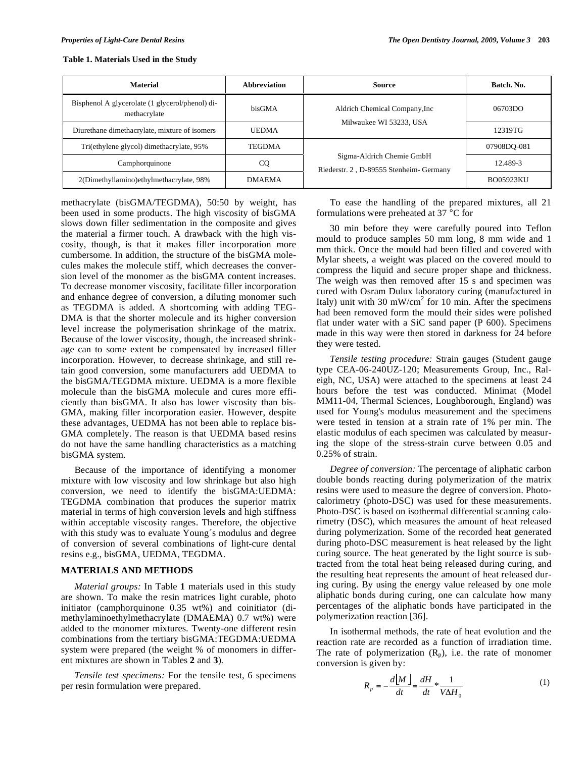| <b>Material</b>                                                 | <b>Abbreviation</b> | Source                                                               | Batch, No.       |
|-----------------------------------------------------------------|---------------------|----------------------------------------------------------------------|------------------|
| Bisphenol A glycerolate (1 glycerol/phenol) di-<br>methacrylate | bisGMA              | Aldrich Chemical Company, Inc.                                       | 06703DO          |
| Diurethane dimethacrylate, mixture of isomers                   | <b>UEDMA</b>        | Milwaukee WI 53233, USA                                              | 12319TG          |
| Tri(ethylene glycol) dimethacrylate, 95%                        | <b>TEGDMA</b>       |                                                                      | 07908DO-081      |
| Camphorquinone                                                  | CQ                  | Sigma-Aldrich Chemie GmbH<br>Riederstr. 2, D-89555 Stenheim- Germany | 12.489-3         |
| 2(Dimethyllamino)ethylmethacrylate, 98%                         | <b>DMAEMA</b>       |                                                                      | <b>BO05923KU</b> |

#### **Table 1. Materials Used in the Study**

methacrylate (bisGMA/TEGDMA), 50:50 by weight, has been used in some products. The high viscosity of bisGMA slows down filler sedimentation in the composite and gives the material a firmer touch. A drawback with the high viscosity, though, is that it makes filler incorporation more cumbersome. In addition, the structure of the bisGMA molecules makes the molecule stiff, which decreases the conversion level of the monomer as the bisGMA content increases. To decrease monomer viscosity, facilitate filler incorporation and enhance degree of conversion, a diluting monomer such as TEGDMA is added. A shortcoming with adding TEG-DMA is that the shorter molecule and its higher conversion level increase the polymerisation shrinkage of the matrix. Because of the lower viscosity, though, the increased shrinkage can to some extent be compensated by increased filler incorporation. However, to decrease shrinkage, and still retain good conversion, some manufacturers add UEDMA to the bisGMA/TEGDMA mixture. UEDMA is a more flexible molecule than the bisGMA molecule and cures more efficiently than bisGMA. It also has lower viscosity than bis-GMA, making filler incorporation easier. However, despite these advantages, UEDMA has not been able to replace bis-GMA completely. The reason is that UEDMA based resins do not have the same handling characteristics as a matching bisGMA system.

Because of the importance of identifying a monomer mixture with low viscosity and low shrinkage but also high conversion, we need to identify the bisGMA:UEDMA: TEGDMA combination that produces the superior matrix material in terms of high conversion levels and high stiffness within acceptable viscosity ranges. Therefore, the objective with this study was to evaluate Young´s modulus and degree of conversion of several combinations of light-cure dental resins e.g., bisGMA, UEDMA, TEGDMA.

#### **MATERIALS AND METHODS**

*Material groups:* In Table **1** materials used in this study are shown. To make the resin matrices light curable, photo initiator (camphorquinone 0.35 wt%) and coinitiator (dimethylaminoethylmethacrylate (DMAEMA) 0.7 wt%) were added to the monomer mixtures. Twenty-one different resin combinations from the tertiary bisGMA:TEGDMA:UEDMA system were prepared (the weight % of monomers in different mixtures are shown in Tables **2** and **3**)*.*

*Tensile test specimens:* For the tensile test, 6 specimens per resin formulation were prepared.

To ease the handling of the prepared mixtures, all 21 formulations were preheated at 37 °C for

30 min before they were carefully poured into Teflon mould to produce samples 50 mm long, 8 mm wide and 1 mm thick. Once the mould had been filled and covered with Mylar sheets, a weight was placed on the covered mould to compress the liquid and secure proper shape and thickness. The weigh was then removed after 15 s and specimen was cured with Osram Dulux laboratory curing (manufactured in Italy) unit with 30 mW/cm<sup>2</sup> for 10 min. After the specimens had been removed form the mould their sides were polished flat under water with a SiC sand paper (P 600). Specimens made in this way were then stored in darkness for 24 before they were tested.

*Tensile testing procedure:* Strain gauges (Student gauge type CEA-06-240UZ-120; Measurements Group, Inc., Raleigh, NC, USA) were attached to the specimens at least 24 hours before the test was conducted. Minimat (Model MM11-04, Thermal Sciences, Loughborough, England) was used for Young's modulus measurement and the specimens were tested in tension at a strain rate of 1% per min. The elastic modulus of each specimen was calculated by measuring the slope of the stress-strain curve between 0.05 and 0.25% of strain.

*Degree of conversion:* The percentage of aliphatic carbon double bonds reacting during polymerization of the matrix resins were used to measure the degree of conversion. Photocalorimetry (photo-DSC) was used for these measurements. Photo-DSC is based on isothermal differential scanning calorimetry (DSC), which measures the amount of heat released during polymerization. Some of the recorded heat generated during photo-DSC measurement is heat released by the light curing source. The heat generated by the light source is subtracted from the total heat being released during curing, and the resulting heat represents the amount of heat released during curing. By using the energy value released by one mole aliphatic bonds during curing, one can calculate how many percentages of the aliphatic bonds have participated in the polymerization reaction [36].

In isothermal methods, the rate of heat evolution and the reaction rate are recorded as a function of irradiation time. The rate of polymerization  $(R_p)$ , i.e. the rate of monomer conversion is given by:

$$
R_p = -\frac{d[M]}{dt} = \frac{dH}{dt} * \frac{1}{V\Delta H_0}
$$
 (1)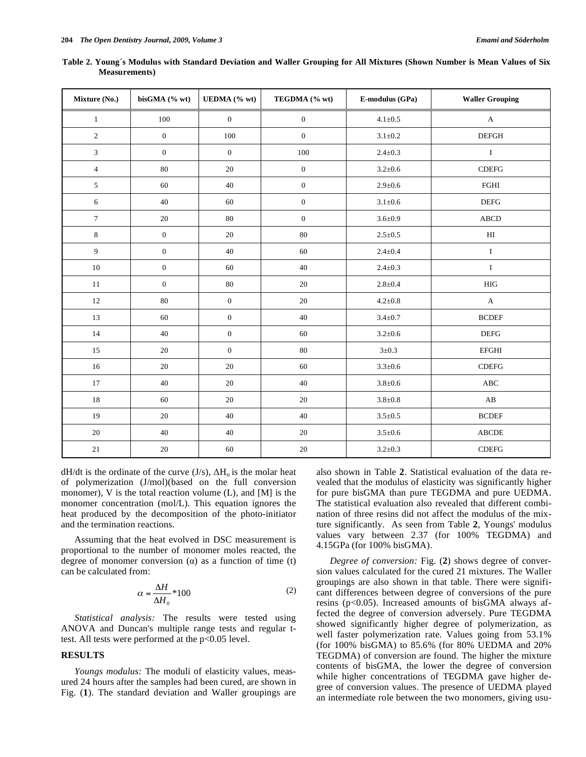| Mixture (No.)    | bisGMA (% wt)    | UEDMA (% wt)     | TEGDMA (% wt)    | E-modulus (GPa) | <b>Waller Grouping</b>        |
|------------------|------------------|------------------|------------------|-----------------|-------------------------------|
| $\mathbf{1}$     | $100\,$          | $\boldsymbol{0}$ | $\boldsymbol{0}$ | $4.1 \pm 0.5$   | $\mathbf{A}$                  |
| 2                | $\boldsymbol{0}$ | 100              | $\mathbf{0}$     | $3.1 \pm 0.2$   | <b>DEFGH</b>                  |
| $\mathfrak{Z}$   | $\boldsymbol{0}$ | $\mathbf{0}$     | 100              | $2.4 \pm 0.3$   | $\rm I$                       |
| $\overline{4}$   | $80\,$           | 20               | $\boldsymbol{0}$ | $3.2 \pm 0.6$   | $\sf CDEFG$                   |
| $\sqrt{5}$       | 60               | $40\,$           | $\boldsymbol{0}$ | $2.9 + 0.6$     | $_{\rm FGHI}$                 |
| $\sqrt{6}$       | 40               | 60               | $\boldsymbol{0}$ | $3.1 \pm 0.6$   | <b>DEFG</b>                   |
| $\boldsymbol{7}$ | $20\,$           | $80\,$           | $\boldsymbol{0}$ | $3.6 \pm 0.9$   | ${\bf ABCD}$                  |
| $\,$ 8 $\,$      | $\boldsymbol{0}$ | $20\,$           | $80\,$           | $2.5 \pm 0.5$   | $\rm HI$                      |
| $\overline{9}$   | $\boldsymbol{0}$ | 40               | 60               | $2.4 \pm 0.4$   | $\rm I$                       |
| 10               | $\boldsymbol{0}$ | 60               | 40               | $2.4 \pm 0.3$   | $\bf I$                       |
| 11               | $\boldsymbol{0}$ | 80               | 20               | $2.8 + 0.4$     | <b>HIG</b>                    |
| 12               | $80\,$           | $\mathbf{0}$     | 20               | $4.2 \pm 0.8$   | $\boldsymbol{\mathsf{A}}$     |
| 13               | 60               | $\boldsymbol{0}$ | 40               | $3.4 \pm 0.7$   | <b>BCDEF</b>                  |
| 14               | 40               | $\boldsymbol{0}$ | 60               | $3.2 \pm 0.6$   | <b>DEFG</b>                   |
| 15               | $20\,$           | $\boldsymbol{0}$ | $80\,$           | $3\pm0.3$       | <b>EFGHI</b>                  |
| 16               | 20               | $20\,$           | 60               | $3.3 \pm 0.6$   | $\sf CDEFG$                   |
| 17               | 40               | $20\,$           | $40\,$           | $3.8{\pm}0.6$   | $\mathbf A\mathbf B\mathbf C$ |
| 18               | 60               | 20               | 20               | $3.8 + 0.8$     | $\mathbf{A}\mathbf{B}$        |
| 19               | 20               | 40               | 40               | $3.5 \pm 0.5$   | <b>BCDEF</b>                  |
| 20               | 40               | 40               | 20               | $3.5 \pm 0.6$   | <b>ABCDE</b>                  |
| 21               | 20               | 60               | 20               | $3.2 \pm 0.3$   | $\sf CDEFG$                   |

**Table 2. Young´s Modulus with Standard Deviation and Waller Grouping for All Mixtures (Shown Number is Mean Values of Six Measurements)** 

 $dH/dt$  is the ordinate of the curve (J/s),  $\Delta H_0$  is the molar heat of polymerization (J/mol)(based on the full conversion monomer), V is the total reaction volume (L), and [M] is the monomer concentration (mol/L). This equation ignores the heat produced by the decomposition of the photo-initiator and the termination reactions.

Assuming that the heat evolved in DSC measurement is proportional to the number of monomer moles reacted, the degree of monomer conversion  $(\alpha)$  as a function of time (t) can be calculated from:

$$
\alpha = \frac{\Delta H}{\Delta H_0} * 100\tag{2}
$$

*Statistical analysis:* The results were tested using ANOVA and Duncan's multiple range tests and regular ttest. All tests were performed at the p<0.05 level.

#### **RESULTS**

*Youngs modulus:* The moduli of elasticity values, measured 24 hours after the samples had been cured, are shown in Fig. (**1**). The standard deviation and Waller groupings are also shown in Table **2**. Statistical evaluation of the data revealed that the modulus of elasticity was significantly higher for pure bisGMA than pure TEGDMA and pure UEDMA. The statistical evaluation also revealed that different combination of three resins did not affect the modulus of the mixture significantly. As seen from Table **2**, Youngs' modulus values vary between 2.37 (for 100% TEGDMA) and 4.15GPa (for 100% bisGMA).

*Degree of conversion:* Fig. (**2**) shows degree of conversion values calculated for the cured 21 mixtures. The Waller groupings are also shown in that table. There were significant differences between degree of conversions of the pure resins ( $p<0.05$ ). Increased amounts of bisGMA always affected the degree of conversion adversely. Pure TEGDMA showed significantly higher degree of polymerization, as well faster polymerization rate. Values going from 53.1% (for 100% bisGMA) to 85.6% (for 80% UEDMA and 20% TEGDMA) of conversion are found. The higher the mixture contents of bisGMA, the lower the degree of conversion while higher concentrations of TEGDMA gave higher degree of conversion values. The presence of UEDMA played an intermediate role between the two monomers, giving usu-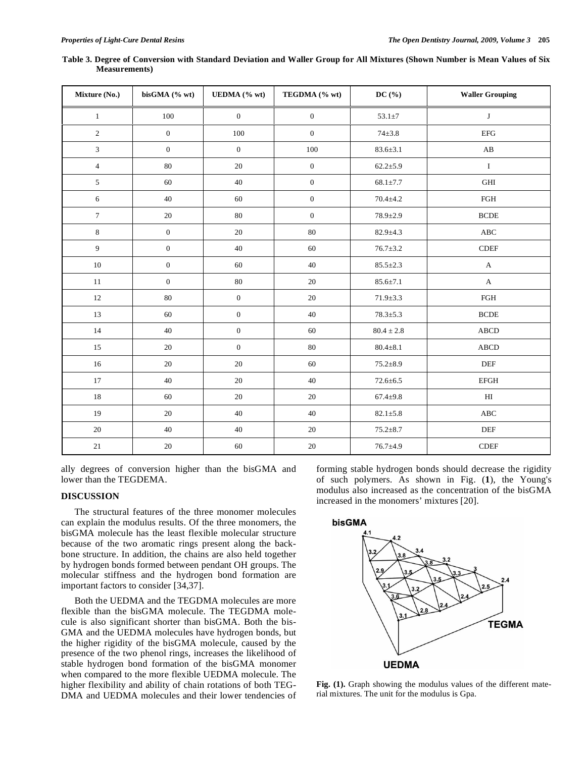| Mixture (No.)    | bisGMA (% wt)    | UEDMA (% wt)     | TEGDMA (% wt)    | DC(%)          | <b>Waller Grouping</b> |
|------------------|------------------|------------------|------------------|----------------|------------------------|
| $\mathbf{1}$     | 100              | $\mathbf{0}$     | $\mathbf{0}$     | $53.1 \pm 7$   | $\bf J$                |
| $\mathbf{2}$     | $\boldsymbol{0}$ | 100              | $\boldsymbol{0}$ | $74 + 3.8$     | $\rm{EFG}$             |
| $\mathfrak{Z}$   | $\boldsymbol{0}$ | $\boldsymbol{0}$ | 100              | $83.6 \pm 3.1$ | $\mathbf{A}\mathbf{B}$ |
| $\overline{4}$   | 80               | 20               | $\boldsymbol{0}$ | $62.2 \pm 5.9$ | $\bf I$                |
| $\sqrt{5}$       | 60               | 40               | $\boldsymbol{0}$ | $68.1 \pm 7.7$ | $\operatorname{GHI}$   |
| 6                | 40               | 60               | $\boldsymbol{0}$ | $70.4 + 4.2$   | $\rm FGH$              |
| $\boldsymbol{7}$ | $20\,$           | 80               | $\boldsymbol{0}$ | $78.9 \pm 2.9$ | <b>BCDE</b>            |
| $\,8\,$          | $\boldsymbol{0}$ | $20\,$           | $80\,$           | $82.9 + 4.3$   | $\rm ABC$              |
| $\overline{9}$   | $\boldsymbol{0}$ | 40               | 60               | $76.7 \pm 3.2$ | $\sf CDEF$             |
| $10\,$           | $\boldsymbol{0}$ | 60               | 40               | $85.5 \pm 2.3$ | $\mathbf A$            |
| $11\,$           | $\boldsymbol{0}$ | $80\,$           | $20\,$           | $85.6 \pm 7.1$ | $\mathbf A$            |
| $12\,$           | $80\,$           | $\boldsymbol{0}$ | 20               | $71.9 \pm 3.3$ | $\rm FGH$              |
| 13               | 60               | $\mathbf{0}$     | 40               | $78.3 \pm 5.3$ | <b>BCDE</b>            |
| 14               | 40               | $\boldsymbol{0}$ | 60               | $80.4\pm2.8$   | <b>ABCD</b>            |
| 15               | 20               | $\mathbf{0}$     | 80               | $80.4 \pm 8.1$ | <b>ABCD</b>            |
| $16\,$           | $20\,$           | 20               | 60               | $75.2 \pm 8.9$ | DEF                    |
| $17\,$           | 40               | 20               | 40               | $72.6 \pm 6.5$ | <b>EFGH</b>            |
| 18               | 60               | 20               | 20               | $67.4 + 9.8$   | H                      |
| 19               | $20\,$           | 40               | 40               | $82.1 \pm 5.8$ | $\rm ABC$              |
| $20\,$           | $40\,$           | 40               | $20\,$           | $75.2 \pm 8.7$ | DEF                    |
| $21\,$           | $20\,$           | 60               | $20\,$           | $76.7 + 4.9$   | $\sf CDEF$             |

**Table 3. Degree of Conversion with Standard Deviation and Waller Group for All Mixtures (Shown Number is Mean Values of Six Measurements)** 

ally degrees of conversion higher than the bisGMA and lower than the TEGDEMA.

# **DISCUSSION**

The structural features of the three monomer molecules can explain the modulus results. Of the three monomers, the bisGMA molecule has the least flexible molecular structure because of the two aromatic rings present along the backbone structure. In addition, the chains are also held together by hydrogen bonds formed between pendant OH groups. The molecular stiffness and the hydrogen bond formation are important factors to consider [34,37].

Both the UEDMA and the TEGDMA molecules are more flexible than the bisGMA molecule. The TEGDMA molecule is also significant shorter than bisGMA. Both the bis-GMA and the UEDMA molecules have hydrogen bonds, but the higher rigidity of the bisGMA molecule, caused by the presence of the two phenol rings, increases the likelihood of stable hydrogen bond formation of the bisGMA monomer when compared to the more flexible UEDMA molecule. The higher flexibility and ability of chain rotations of both TEG-DMA and UEDMA molecules and their lower tendencies of

forming stable hydrogen bonds should decrease the rigidity of such polymers. As shown in Fig. (**1**), the Young's modulus also increased as the concentration of the bisGMA increased in the monomers' mixtures [20].



Fig. (1). Graph showing the modulus values of the different material mixtures. The unit for the modulus is Gpa.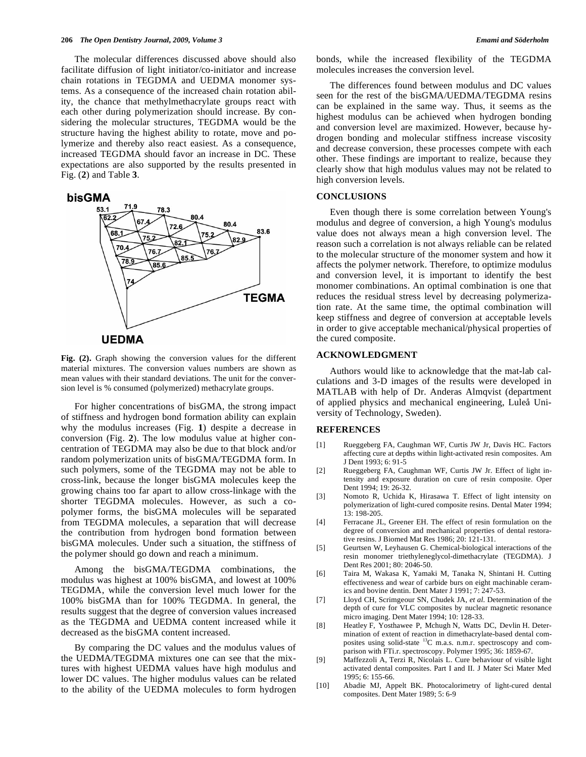The molecular differences discussed above should also facilitate diffusion of light initiator/co-initiator and increase chain rotations in TEGDMA and UEDMA monomer systems. As a consequence of the increased chain rotation ability, the chance that methylmethacrylate groups react with each other during polymerization should increase. By considering the molecular structures, TEGDMA would be the structure having the highest ability to rotate, move and polymerize and thereby also react easiest. As a consequence, increased TEGDMA should favor an increase in DC. These expectations are also supported by the results presented in Fig. (**2**) and Table **3**.



**Fig. (2).** Graph showing the conversion values for the different material mixtures. The conversion values numbers are shown as mean values with their standard deviations. The unit for the conversion level is % consumed (polymerized) methacrylate groups.

For higher concentrations of bisGMA, the strong impact of stiffness and hydrogen bond formation ability can explain why the modulus increases (Fig. **1**) despite a decrease in conversion (Fig. **2**). The low modulus value at higher concentration of TEGDMA may also be due to that block and/or random polymerization units of bisGMA/TEGDMA form. In such polymers, some of the TEGDMA may not be able to cross-link, because the longer bisGMA molecules keep the growing chains too far apart to allow cross-linkage with the shorter TEGDMA molecules. However, as such a copolymer forms, the bisGMA molecules will be separated from TEGDMA molecules, a separation that will decrease the contribution from hydrogen bond formation between bisGMA molecules. Under such a situation, the stiffness of the polymer should go down and reach a minimum.

Among the bisGMA/TEGDMA combinations, the modulus was highest at 100% bisGMA, and lowest at 100% TEGDMA, while the conversion level much lower for the 100% bisGMA than for 100% TEGDMA. In general, the results suggest that the degree of conversion values increased as the TEGDMA and UEDMA content increased while it decreased as the bisGMA content increased.

By comparing the DC values and the modulus values of the UEDMA/TEGDMA mixtures one can see that the mixtures with highest UEDMA values have high modulus and lower DC values. The higher modulus values can be related to the ability of the UEDMA molecules to form hydrogen bonds, while the increased flexibility of the TEGDMA molecules increases the conversion level.

The differences found between modulus and DC values seen for the rest of the bisGMA/UEDMA/TEGDMA resins can be explained in the same way. Thus, it seems as the highest modulus can be achieved when hydrogen bonding and conversion level are maximized. However, because hydrogen bonding and molecular stiffness increase viscosity and decrease conversion, these processes compete with each other. These findings are important to realize, because they clearly show that high modulus values may not be related to high conversion levels.

#### **CONCLUSIONS**

Even though there is some correlation between Young's modulus and degree of conversion, a high Young's modulus value does not always mean a high conversion level. The reason such a correlation is not always reliable can be related to the molecular structure of the monomer system and how it affects the polymer network. Therefore, to optimize modulus and conversion level, it is important to identify the best monomer combinations. An optimal combination is one that reduces the residual stress level by decreasing polymerization rate. At the same time, the optimal combination will keep stiffness and degree of conversion at acceptable levels in order to give acceptable mechanical/physical properties of the cured composite.

# **ACKNOWLEDGMENT**

Authors would like to acknowledge that the mat-lab calculations and 3-D images of the results were developed in MATLAB with help of Dr. Anderas Almqvist (department of applied physics and mechanical engineering, Luleå University of Technology, Sweden).

#### **REFERENCES**

- [1] Rueggeberg FA, Caughman WF, Curtis JW Jr, Davis HC. Factors affecting cure at depths within light-activated resin composites. Am J Dent 1993; 6: 91-5
- [2] Rueggeberg FA, Caughman WF, Curtis JW Jr. Effect of light intensity and exposure duration on cure of resin composite. Oper Dent 1994: 19: 26-32.
- [3] Nomoto R, Uchida K, Hirasawa T. Effect of light intensity on polymerization of light-cured composite resins. Dental Mater 1994; 13: 198-205.
- [4] Ferracane JL, Greener EH. The effect of resin formulation on the degree of conversion and mechanical properties of dental restorative resins. J Biomed Mat Res 1986; 20: 121-131.
- [5] Geurtsen W, Leyhausen G. Chemical-biological interactions of the resin monomer triethyleneglycol-dimethacrylate (TEGDMA). J Dent Res 2001; 80: 2046-50.
- [6] Taira M, Wakasa K, Yamaki M, Tanaka N, Shintani H. Cutting effectiveness and wear of carbide burs on eight machinable ceramics and bovine dentin. Dent Mater J 1991; 7: 247-53.
- [7] Lloyd CH, Scrimgeour SN, Chudek JA, *et al*. Determination of the depth of cure for VLC composites by nuclear magnetic resonance micro imaging. Dent Mater 1994; 10: 128-33.
- [8] Heatley F, Yosthawee P, Mchugh N, Watts DC, Devlin H. Determination of extent of reaction in dimethacrylate-based dental composites using solid-state <sup>13</sup>C m.a.s. n.m.r. spectroscopy and comparison with FTi.r. spectroscopy. Polymer 1995; 36: 1859-67.
- [9] Maffezzoli A, Terzi R, Nicolais L. Cure behaviour of visible light activated dental composites. Part I and II. J Mater Sci Mater Med 1995; 6: 155-66.
- [10] Abadie MJ, Appelt BK. Photocalorimetry of light-cured dental composites. Dent Mater 1989; 5: 6-9